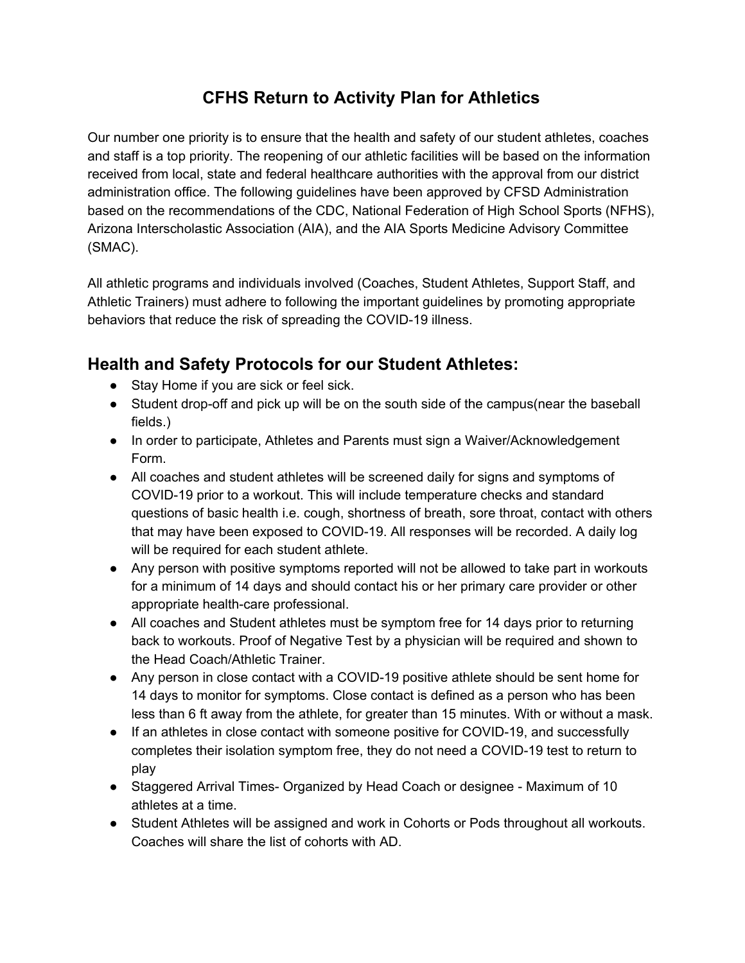# **CFHS Return to Activity Plan for Athletics**

 Our number one priority is to ensure that the health and safety of our student athletes, coaches and staff is a top priority. The reopening of our athletic facilities will be based on the information received from local, state and federal healthcare authorities with the approval from our district administration office. The following guidelines have been approved by CFSD Administration based on the recommendations of the CDC, National Federation of High School Sports (NFHS), Arizona Interscholastic Association (AIA), and the AIA Sports Medicine Advisory Committee (SMAC).

 All athletic programs and individuals involved (Coaches, Student Athletes, Support Staff, and Athletic Trainers) must adhere to following the important guidelines by promoting appropriate behaviors that reduce the risk of spreading the COVID-19 illness.

## **Health and Safety Protocols for our Student Athletes:**

- Stay Home if you are sick or feel sick.
- ● Student drop-off and pick up will be on the south side of the campus(near the baseball fields.)
- ● In order to participate, Athletes and Parents must sign a Waiver/Acknowledgement Form.
- ● All coaches and student athletes will be screened daily for signs and symptoms of COVID-19 prior to a workout. This will include temperature checks and standard questions of basic health i.e. cough, shortness of breath, sore throat, contact with others that may have been exposed to COVID-19. All responses will be recorded. A daily log will be required for each student athlete.
- ● Any person with positive symptoms reported will not be allowed to take part in workouts for a minimum of 14 days and should contact his or her primary care provider or other appropriate health-care professional.
- ● All coaches and Student athletes must be symptom free for 14 days prior to returning back to workouts. Proof of Negative Test by a physician will be required and shown to the Head Coach/Athletic Trainer.
- ● Any person in close contact with a COVID-19 positive athlete should be sent home for 14 days to monitor for symptoms. Close contact is defined as a person who has been less than 6 ft away from the athlete, for greater than 15 minutes. With or without a mask.
- ● If an athletes in close contact with someone positive for COVID-19, and successfully completes their isolation symptom free, they do not need a COVID-19 test to return to play
- ● Staggered Arrival Times- Organized by Head Coach or designee Maximum of 10 athletes at a time.
- ● Student Athletes will be assigned and work in Cohorts or Pods throughout all workouts. Coaches will share the list of cohorts with AD.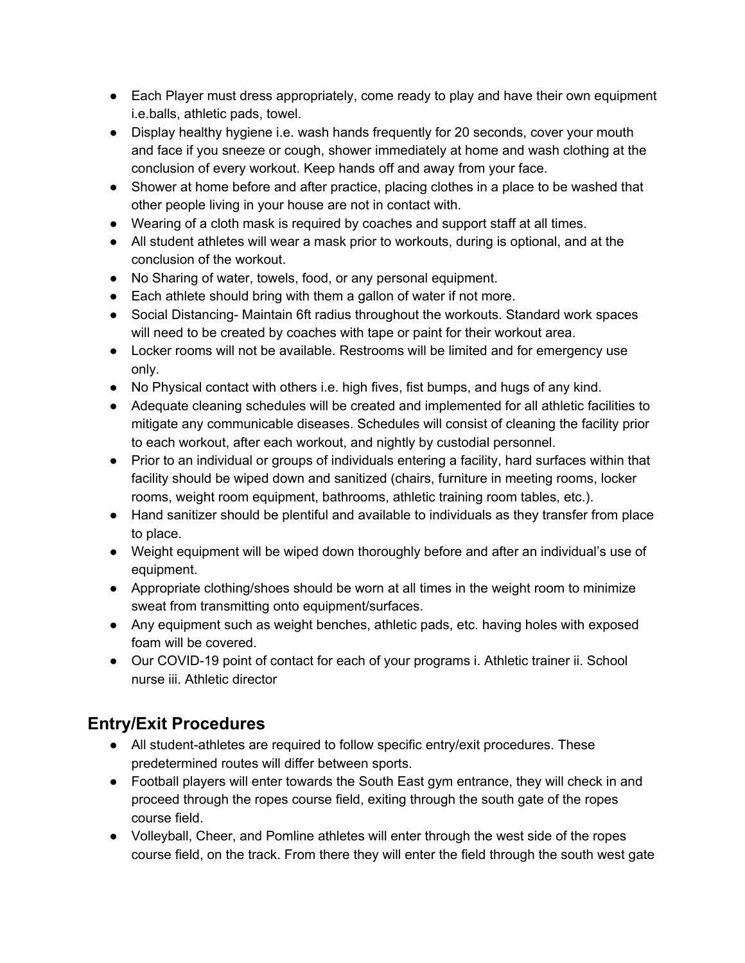- ● Each Player must dress appropriately, come ready to play and have their own equipment i.e.balls, athletic pads, towel.
- ● Display healthy hygiene i.e. wash hands frequently for 20 seconds, cover your mouth and face if you sneeze or cough, shower immediately at home and wash clothing at the conclusion of every workout. Keep hands off and away from your face.
- ● Shower at home before and after practice, placing clothes in a place to be washed that other people living in your house are not in contact with.
- Wearing of a cloth mask is required by coaches and support staff at all times.
- ● All student athletes will wear a mask prior to workouts, during is optional, and at the conclusion of the workout.
- No Sharing of water, towels, food, or any personal equipment.
- Each athlete should bring with them a gallon of water if not more.
- ● Social Distancing- Maintain 6ft radius throughout the workouts. Standard work spaces will need to be created by coaches with tape or paint for their workout area.
- ● Locker rooms will not be available. Restrooms will be limited and for emergency use only.
- No Physical contact with others i.e. high fives, fist bumps, and hugs of any kind.
- ● Adequate cleaning schedules will be created and implemented for all athletic facilities to mitigate any communicable diseases. Schedules will consist of cleaning the facility prior to each workout, after each workout, and nightly by custodial personnel.
- ● Prior to an individual or groups of individuals entering a facility, hard surfaces within that facility should be wiped down and sanitized (chairs, furniture in meeting rooms, locker rooms, weight room equipment, bathrooms, athletic training room tables, etc.).
- ● Hand sanitizer should be plentiful and available to individuals as they transfer from place to place.
- ● Weight equipment will be wiped down thoroughly before and after an individual's use of equipment.
- ● Appropriate clothing/shoes should be worn at all times in the weight room to minimize sweat from transmitting onto equipment/surfaces.
- ● Any equipment such as weight benches, athletic pads, etc. having holes with exposed foam will be covered.
- ● Our COVID-19 point of contact for each of your programs i. Athletic trainer ii. School nurse iii. Athletic director

# **Entry/Exit Procedures**

- ● All student-athletes are required to follow specific entry/exit procedures. These predetermined routes will differ between sports.
- ● Football players will enter towards the South East gym entrance, they will check in and proceed through the ropes course field, exiting through the south gate of the ropes course field.
- ● Volleyball, Cheer, and Pomline athletes will enter through the west side of the ropes course field, on the track. From there they will enter the field through the south west gate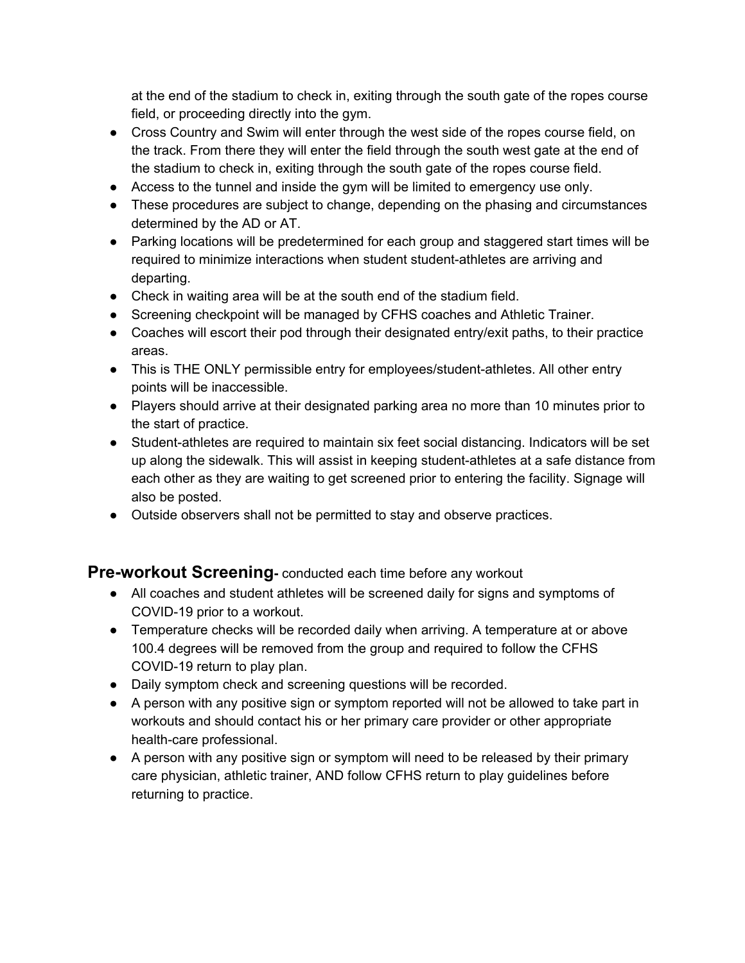at the end of the stadium to check in, exiting through the south gate of the ropes course field, or proceeding directly into the gym.

- ● Cross Country and Swim will enter through the west side of the ropes course field, on the track. From there they will enter the field through the south west gate at the end of the stadium to check in, exiting through the south gate of the ropes course field.
- Access to the tunnel and inside the gym will be limited to emergency use only.
- ● These procedures are subject to change, depending on the phasing and circumstances determined by the AD or AT.
- ● Parking locations will be predetermined for each group and staggered start times will be required to minimize interactions when student student-athletes are arriving and departing.
- Check in waiting area will be at the south end of the stadium field.
- Screening checkpoint will be managed by CFHS coaches and Athletic Trainer.
- ● Coaches will escort their pod through their designated entry/exit paths, to their practice areas.
- ● This is THE ONLY permissible entry for employees/student-athletes. All other entry points will be inaccessible.
- ● Players should arrive at their designated parking area no more than 10 minutes prior to the start of practice.
- ● Student-athletes are required to maintain six feet social distancing. Indicators will be set up along the sidewalk. This will assist in keeping student-athletes at a safe distance from each other as they are waiting to get screened prior to entering the facility. Signage will also be posted.
- Outside observers shall not be permitted to stay and observe practices.

### **Pre-workout Screening-** conducted each time before any workout

- ● All coaches and student athletes will be screened daily for signs and symptoms of COVID-19 prior to a workout.
- ● Temperature checks will be recorded daily when arriving. A temperature at or above 100.4 degrees will be removed from the group and required to follow the CFHS COVID-19 return to play plan.
- Daily symptom check and screening questions will be recorded.
- ● A person with any positive sign or symptom reported will not be allowed to take part in workouts and should contact his or her primary care provider or other appropriate health-care professional.
- ● A person with any positive sign or symptom will need to be released by their primary care physician, athletic trainer, AND follow CFHS return to play guidelines before returning to practice.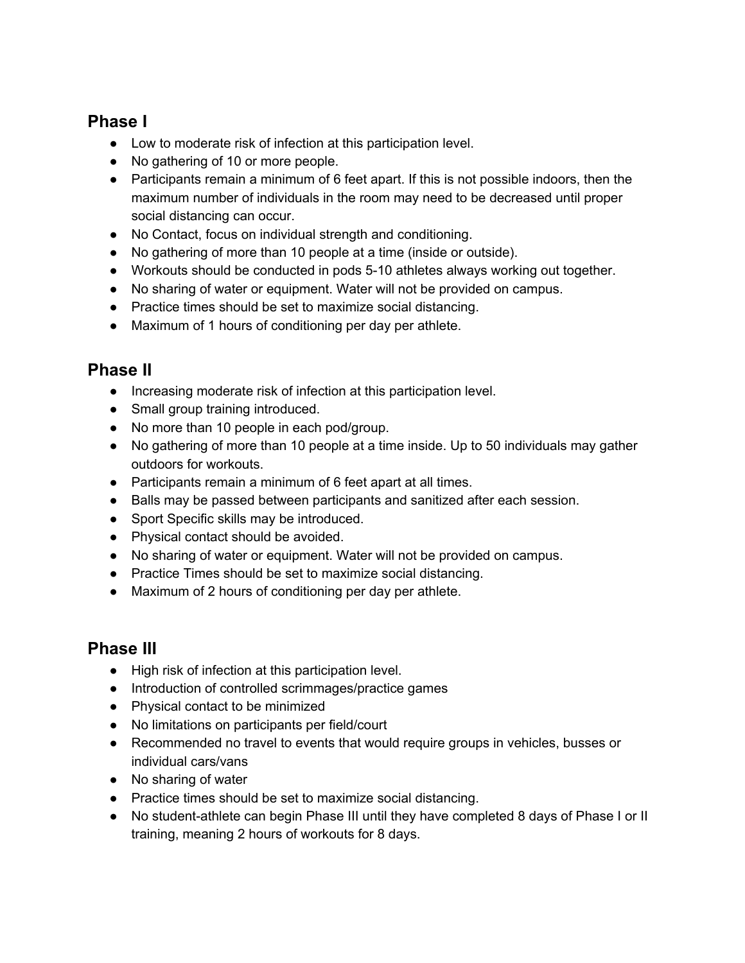### **Phase I**

- Low to moderate risk of infection at this participation level.
- No gathering of 10 or more people.
- ● Participants remain a minimum of 6 feet apart. If this is not possible indoors, then the maximum number of individuals in the room may need to be decreased until proper social distancing can occur.
- No Contact, focus on individual strength and conditioning.
- No gathering of more than 10 people at a time (inside or outside).
- Workouts should be conducted in pods 5-10 athletes always working out together.
- No sharing of water or equipment. Water will not be provided on campus.
- Practice times should be set to maximize social distancing.
- Maximum of 1 hours of conditioning per day per athlete.

## **Phase II**

- Increasing moderate risk of infection at this participation level.
- Small group training introduced.
- No more than 10 people in each pod/group.
- ● No gathering of more than 10 people at a time inside. Up to 50 individuals may gather outdoors for workouts.
- Participants remain a minimum of 6 feet apart at all times.
- Balls may be passed between participants and sanitized after each session.
- Sport Specific skills may be introduced.
- Physical contact should be avoided.
- No sharing of water or equipment. Water will not be provided on campus.
- Practice Times should be set to maximize social distancing.
- Maximum of 2 hours of conditioning per day per athlete.

### **Phase III**

- High risk of infection at this participation level.
- Introduction of controlled scrimmages/practice games
- Physical contact to be minimized
- No limitations on participants per field/court
- ● Recommended no travel to events that would require groups in vehicles, busses or individual cars/vans
- No sharing of water
- Practice times should be set to maximize social distancing.
- ● No student-athlete can begin Phase III until they have completed 8 days of Phase I or II training, meaning 2 hours of workouts for 8 days.